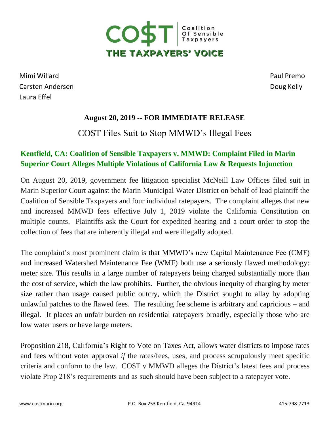

Mimi Willard Paul Premo Carsten Andersen **Doug Kelly** Laura Effel

## **August 20, 2019 -- FOR IMMEDIATE RELEASE**

## CO\$T Files Suit to Stop MMWD's Illegal Fees

## **Kentfield, CA: Coalition of Sensible Taxpayers v. MMWD: Complaint Filed in Marin Superior Court Alleges Multiple Violations of California Law & Requests Injunction**

On August 20, 2019, government fee litigation specialist McNeill Law Offices filed suit in Marin Superior Court against the Marin Municipal Water District on behalf of lead plaintiff the Coalition of Sensible Taxpayers and four individual ratepayers. The complaint alleges that new and increased MMWD fees effective July 1, 2019 violate the California Constitution on multiple counts. Plaintiffs ask the Court for expedited hearing and a court order to stop the collection of fees that are inherently illegal and were illegally adopted.

The complaint's most prominent claim is that MMWD's new Capital Maintenance Fee (CMF) and increased Watershed Maintenance Fee (WMF) both use a seriously flawed methodology: meter size. This results in a large number of ratepayers being charged substantially more than the cost of service, which the law prohibits. Further, the obvious inequity of charging by meter size rather than usage caused public outcry, which the District sought to allay by adopting unlawful patches to the flawed fees. The resulting fee scheme is arbitrary and capricious – and illegal. It places an unfair burden on residential ratepayers broadly, especially those who are low water users or have large meters.

Proposition 218, California's Right to Vote on Taxes Act, allows water districts to impose rates and fees without voter approval *if* the rates/fees, uses, and process scrupulously meet specific criteria and conform to the law. CO\$T v MMWD alleges the District's latest fees and process violate Prop 218's requirements and as such should have been subject to a ratepayer vote.